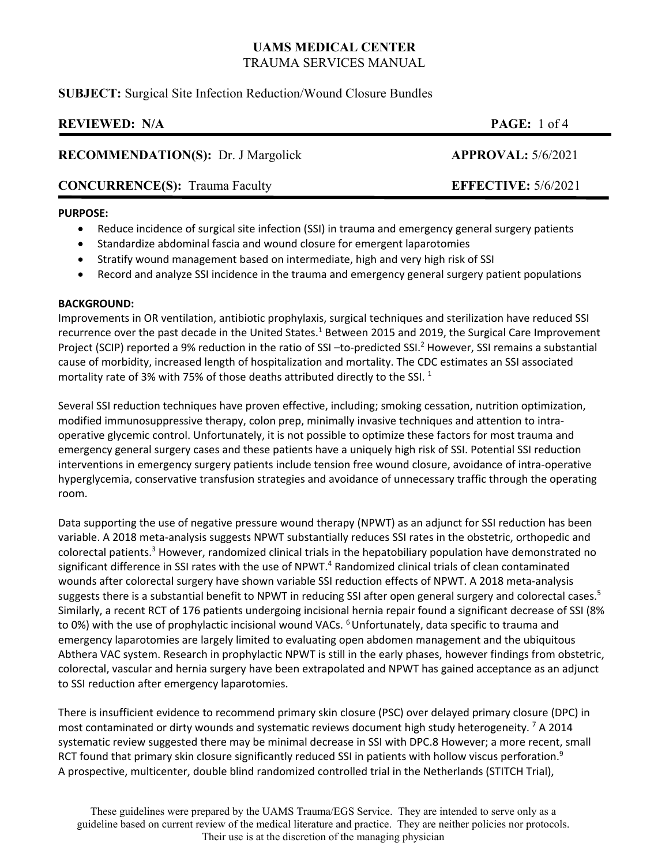# **SUBJECT:** Surgical Site Infection Reduction/Wound Closure Bundles

| <b>REVIEWED: N/A</b>                      | <b>PAGE:</b> 1 of 4        |
|-------------------------------------------|----------------------------|
| <b>RECOMMENDATION(S): Dr. J Margolick</b> | APPROVAL: 5/6/2021         |
| <b>CONCURRENCE(S):</b> Trauma Faculty     | <b>EFFECTIVE: 5/6/2021</b> |
|                                           |                            |

## **PURPOSE:**

- Reduce incidence of surgical site infection (SSI) in trauma and emergency general surgery patients
- Standardize abdominal fascia and wound closure for emergent laparotomies
- Stratify wound management based on intermediate, high and very high risk of SSI
- Record and analyze SSI incidence in the trauma and emergency general surgery patient populations

## **BACKGROUND:**

Improvements in OR ventilation, antibiotic prophylaxis, surgical techniques and sterilization have reduced SSI recurrence over the past decade in the United States.<sup>1</sup> Between 2015 and 2019, the Surgical Care Improvement Project (SCIP) reported a 9% reduction in the ratio of SSI -to-predicted SSI.<sup>2</sup> However, SSI remains a substantial cause of morbidity, increased length of hospitalization and mortality. The CDC estimates an SSI associated mortality rate of 3% with 75% of those deaths attributed directly to the SSI.  $^1$ 

Several SSI reduction techniques have proven effective, including; smoking cessation, nutrition optimization, modified immunosuppressive therapy, colon prep, minimally invasive techniques and attention to intra‐ operative glycemic control. Unfortunately, it is not possible to optimize these factors for most trauma and emergency general surgery cases and these patients have a uniquely high risk of SSI. Potential SSI reduction interventions in emergency surgery patients include tension free wound closure, avoidance of intra‐operative hyperglycemia, conservative transfusion strategies and avoidance of unnecessary traffic through the operating room.

Data supporting the use of negative pressure wound therapy (NPWT) as an adjunct for SSI reduction has been variable. A 2018 meta‐analysis suggests NPWT substantially reduces SSI rates in the obstetric, orthopedic and colorectal patients.<sup>3</sup> However, randomized clinical trials in the hepatobiliary population have demonstrated no significant difference in SSI rates with the use of NPWT.<sup>4</sup> Randomized clinical trials of clean contaminated wounds after colorectal surgery have shown variable SSI reduction effects of NPWT. A 2018 meta-analysis suggests there is a substantial benefit to NPWT in reducing SSI after open general surgery and colorectal cases.<sup>5</sup> Similarly, a recent RCT of 176 patients undergoing incisional hernia repair found a significant decrease of SSI (8% to 0%) with the use of prophylactic incisional wound VACs. <sup>6</sup> Unfortunately, data specific to trauma and emergency laparotomies are largely limited to evaluating open abdomen management and the ubiquitous Abthera VAC system. Research in prophylactic NPWT is still in the early phases, however findings from obstetric, colorectal, vascular and hernia surgery have been extrapolated and NPWT has gained acceptance as an adjunct to SSI reduction after emergency laparotomies.

There is insufficient evidence to recommend primary skin closure (PSC) over delayed primary closure (DPC) in most contaminated or dirty wounds and systematic reviews document high study heterogeneity. <sup>7</sup> A 2014 systematic review suggested there may be minimal decrease in SSI with DPC.8 However; a more recent, small RCT found that primary skin closure significantly reduced SSI in patients with hollow viscus perforation.<sup>9</sup> A prospective, multicenter, double blind randomized controlled trial in the Netherlands (STITCH Trial),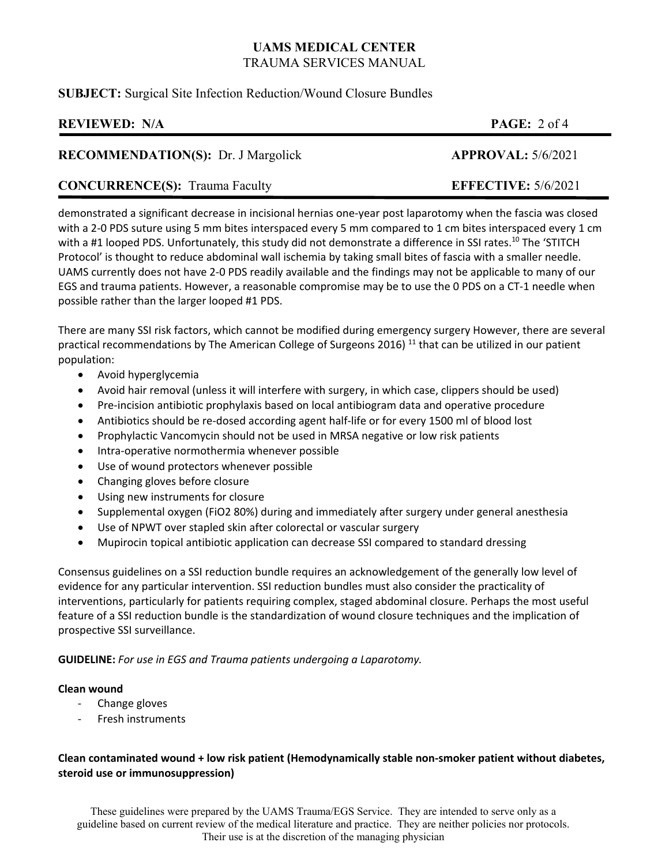# **SUBJECT:** Surgical Site Infection Reduction/Wound Closure Bundles

# **REVIEWED:** N/A **PAGE:** 2 of 4

# **RECOMMENDATION(S):** Dr. J Margolick **APPROVAL:** 5/6/2021

# **CONCURRENCE(S):** Trauma Faculty **EFFECTIVE:** 5/6/2021

demonstrated a significant decrease in incisional hernias one‐year post laparotomy when the fascia was closed with a 2-0 PDS suture using 5 mm bites interspaced every 5 mm compared to 1 cm bites interspaced every 1 cm with a #1 looped PDS. Unfortunately, this study did not demonstrate a difference in SSI rates.<sup>10</sup> The 'STITCH Protocol' is thought to reduce abdominal wall ischemia by taking small bites of fascia with a smaller needle. UAMS currently does not have 2‐0 PDS readily available and the findings may not be applicable to many of our EGS and trauma patients. However, a reasonable compromise may be to use the 0 PDS on a CT‐1 needle when possible rather than the larger looped #1 PDS.

There are many SSI risk factors, which cannot be modified during emergency surgery However, there are several practical recommendations by The American College of Surgeons 2016)<sup>11</sup> that can be utilized in our patient population:

- Avoid hyperglycemia
- Avoid hair removal (unless it will interfere with surgery, in which case, clippers should be used)
- Pre‐incision antibiotic prophylaxis based on local antibiogram data and operative procedure
- Antibiotics should be re‐dosed according agent half‐life or for every 1500 ml of blood lost
- Prophylactic Vancomycin should not be used in MRSA negative or low risk patients
- Intra‐operative normothermia whenever possible
- Use of wound protectors whenever possible
- Changing gloves before closure
- Using new instruments for closure
- Supplemental oxygen (FiO2 80%) during and immediately after surgery under general anesthesia
- Use of NPWT over stapled skin after colorectal or vascular surgery
- Mupirocin topical antibiotic application can decrease SSI compared to standard dressing

Consensus guidelines on a SSI reduction bundle requires an acknowledgement of the generally low level of evidence for any particular intervention. SSI reduction bundles must also consider the practicality of interventions, particularly for patients requiring complex, staged abdominal closure. Perhaps the most useful feature of a SSI reduction bundle is the standardization of wound closure techniques and the implication of prospective SSI surveillance.

**GUIDELINE:** *For use in EGS and Trauma patients undergoing a Laparotomy.*

## **Clean wound**

- ‐ Change gloves
- ‐ Fresh instruments

## **Clean contaminated wound + low risk patient (Hemodynamically stable non‐smoker patient without diabetes, steroid use or immunosuppression)**

These guidelines were prepared by the UAMS Trauma/EGS Service. They are intended to serve only as a guideline based on current review of the medical literature and practice. They are neither policies nor protocols. Their use is at the discretion of the managing physician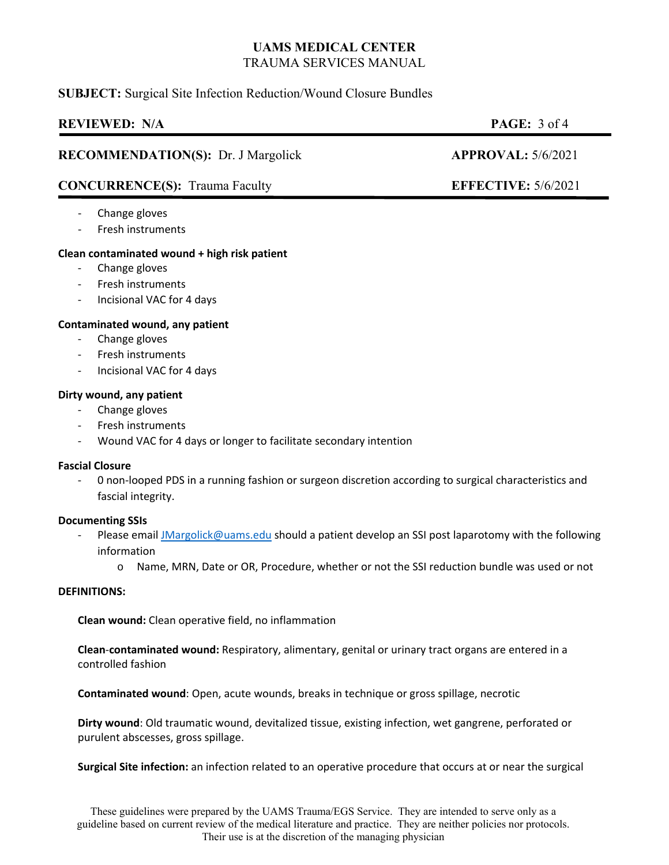## **SUBJECT:** Surgical Site Infection Reduction/Wound Closure Bundles

# **REVIEWED:** N/A **PAGE:** 3 of 4

## **RECOMMENDATION(S):** Dr. J Margolick **APPROVAL:** 5/6/2021

# **CONCURRENCE(S):** Trauma Faculty **EFFECTIVE:** 5/6/2021

- ‐ Change gloves
- ‐ Fresh instruments

## **Clean contaminated wound + high risk patient**

- ‐ Change gloves
- ‐ Fresh instruments
- ‐ Incisional VAC for 4 days

### **Contaminated wound, any patient**

- ‐ Change gloves
- ‐ Fresh instruments
- ‐ Incisional VAC for 4 days

### **Dirty wound, any patient**

- ‐ Change gloves
- ‐ Fresh instruments
- ‐ Wound VAC for 4 days or longer to facilitate secondary intention

#### **Fascial Closure**

‐ 0 non‐looped PDS in a running fashion or surgeon discretion according to surgical characteristics and fascial integrity.

#### **Documenting SSIs**

- Please email JMargolick@uams.edu should a patient develop an SSI post laparotomy with the following information
	- o Name, MRN, Date or OR, Procedure, whether or not the SSI reduction bundle was used or not

#### **DEFINITIONS:**

**Clean wound:** Clean operative field, no inflammation

**Clean**‐**contaminated wound:** Respiratory, alimentary, genital or urinary tract organs are entered in a controlled fashion

**Contaminated wound**: Open, acute wounds, breaks in technique or gross spillage, necrotic

**Dirty wound**: Old traumatic wound, devitalized tissue, existing infection, wet gangrene, perforated or purulent abscesses, gross spillage.

**Surgical Site infection:** an infection related to an operative procedure that occurs at or near the surgical